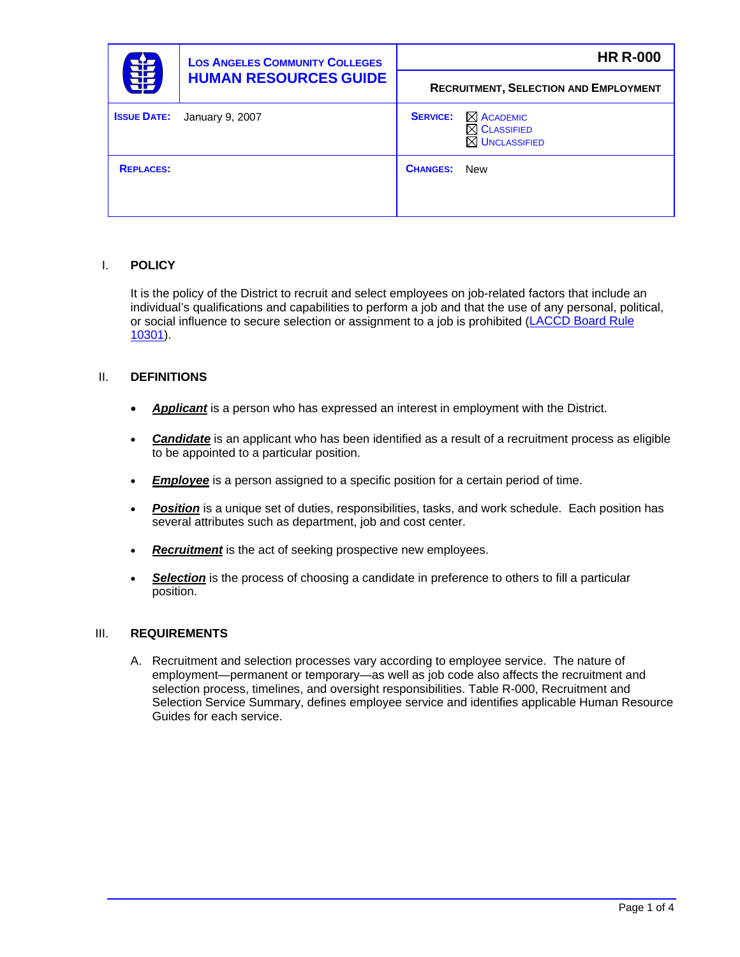|                    | <b>LOS ANGELES COMMUNITY COLLEGES</b><br><b>HUMAN RESOURCES GUIDE</b> |                 | <b>HR R-000</b>                                                            |
|--------------------|-----------------------------------------------------------------------|-----------------|----------------------------------------------------------------------------|
| 串                  |                                                                       |                 | <b>RECRUITMENT, SELECTION AND EMPLOYMENT</b>                               |
| <b>ISSUE DATE:</b> | January 9, 2007                                                       | <b>SERVICE:</b> | $\boxtimes$ ACADEMIC<br>$\boxtimes$ Classified<br>$\boxtimes$ UNCLASSIFIED |
| <b>REPLACES:</b>   |                                                                       | <b>CHANGES:</b> | <b>New</b>                                                                 |

## I. **POLICY**

It is the policy of the District to recruit and select employees on job-related factors that include an individual's qualifications and capabilities to perform a job and that the use of any personal, political, or social influence to secure selection or assignment to a job is prohibited [\(LACCD Board Rule](http://www.laccd.edu/board_rules/documents/Ch.X-ArticleIII.doc)  [10301\)](http://www.laccd.edu/board_rules/documents/Ch.X-ArticleIII.doc).

### II. **DEFINITIONS**

- *Applicant* is a person who has expressed an interest in employment with the District.
- *Candidate* is an applicant who has been identified as a result of a recruitment process as eligible to be appointed to a particular position.
- *Employee* is a person assigned to a specific position for a certain period of time.
- *Position* is a unique set of duties, responsibilities, tasks, and work schedule. Each position has several attributes such as department, job and cost center.
- **Recruitment** is the act of seeking prospective new employees.
- **Selection** is the process of choosing a candidate in preference to others to fill a particular position.

### III. **REQUIREMENTS**

A. Recruitment and selection processes vary according to employee service. The nature of employment—permanent or temporary—as well as job code also affects the recruitment and selection process, timelines, and oversight responsibilities. Table R-000, Recruitment and Selection Service Summary, defines employee service and identifies applicable Human Resource Guides for each service.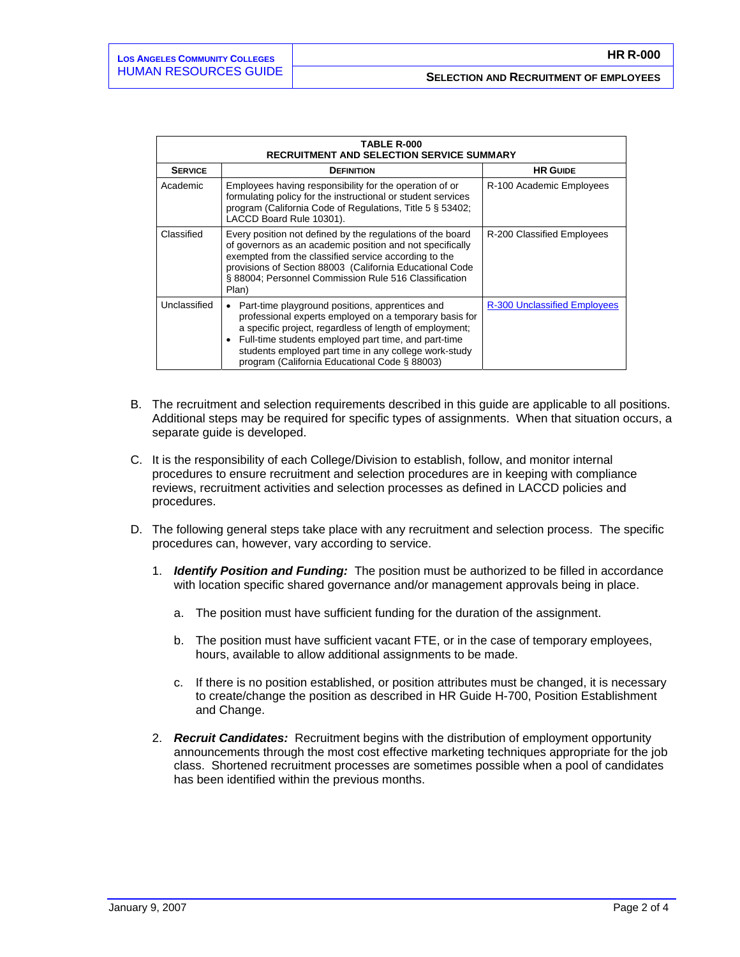| <b>TABLE R-000</b><br><b>RECRUITMENT AND SELECTION SERVICE SUMMARY</b> |                                                                                                                                                                                                                                                                                                                                                                  |                                     |  |  |
|------------------------------------------------------------------------|------------------------------------------------------------------------------------------------------------------------------------------------------------------------------------------------------------------------------------------------------------------------------------------------------------------------------------------------------------------|-------------------------------------|--|--|
| <b>SERVICE</b>                                                         | <b>DEFINITION</b>                                                                                                                                                                                                                                                                                                                                                | <b>HR GUIDE</b>                     |  |  |
| Academic                                                               | Employees having responsibility for the operation of or<br>formulating policy for the instructional or student services<br>program (California Code of Regulations, Title 5 § 53402;<br>LACCD Board Rule 10301).                                                                                                                                                 | R-100 Academic Employees            |  |  |
| Classified                                                             | Every position not defined by the regulations of the board<br>of governors as an academic position and not specifically<br>exempted from the classified service according to the<br>provisions of Section 88003 (California Educational Code<br>§ 88004; Personnel Commission Rule 516 Classification<br>Plan)                                                   | R-200 Classified Employees          |  |  |
| Unclassified                                                           | Part-time playground positions, apprentices and<br>$\bullet$<br>professional experts employed on a temporary basis for<br>a specific project, regardless of length of employment;<br>Full-time students employed part time, and part-time<br>$\bullet$<br>students employed part time in any college work-study<br>program (California Educational Code § 88003) | <b>R-300 Unclassified Employees</b> |  |  |

- B. The recruitment and selection requirements described in this guide are applicable to all positions. Additional steps may be required for specific types of assignments. When that situation occurs, a separate guide is developed.
- C. It is the responsibility of each College/Division to establish, follow, and monitor internal procedures to ensure recruitment and selection procedures are in keeping with compliance reviews, recruitment activities and selection processes as defined in LACCD policies and procedures.
- D. The following general steps take place with any recruitment and selection process. The specific procedures can, however, vary according to service.
	- 1. *Identify Position and Funding:* The position must be authorized to be filled in accordance with location specific shared governance and/or management approvals being in place.
		- a. The position must have sufficient funding for the duration of the assignment.
		- b. The position must have sufficient vacant FTE, or in the case of temporary employees, hours, available to allow additional assignments to be made.
		- c. If there is no position established, or position attributes must be changed, it is necessary to create/change the position as described in HR Guide H-700, Position Establishment and Change.
	- 2. *Recruit Candidates:* Recruitment begins with the distribution of employment opportunity announcements through the most cost effective marketing techniques appropriate for the job class. Shortened recruitment processes are sometimes possible when a pool of candidates has been identified within the previous months.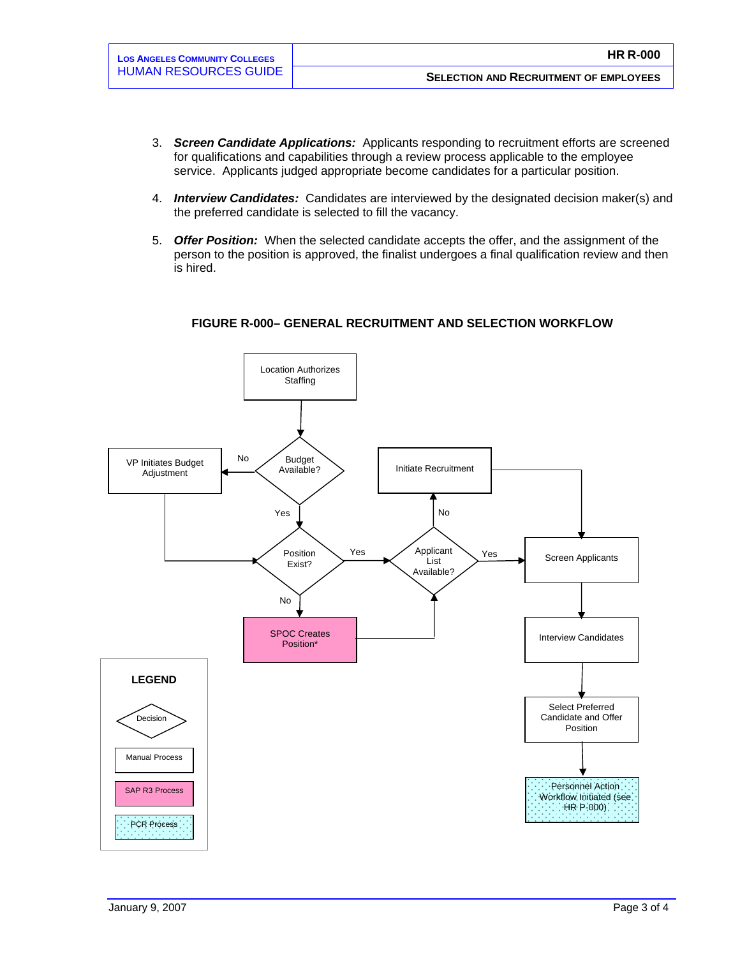- 3. *Screen Candidate Applications:* Applicants responding to recruitment efforts are screened for qualifications and capabilities through a review process applicable to the employee service. Applicants judged appropriate become candidates for a particular position.
- 4. *Interview Candidates:* Candidates are interviewed by the designated decision maker(s) and the preferred candidate is selected to fill the vacancy.
- 5. *Offer Position:* When the selected candidate accepts the offer, and the assignment of the person to the position is approved, the finalist undergoes a final qualification review and then is hired.



### **FIGURE R-000– GENERAL RECRUITMENT AND SELECTION WORKFLOW**